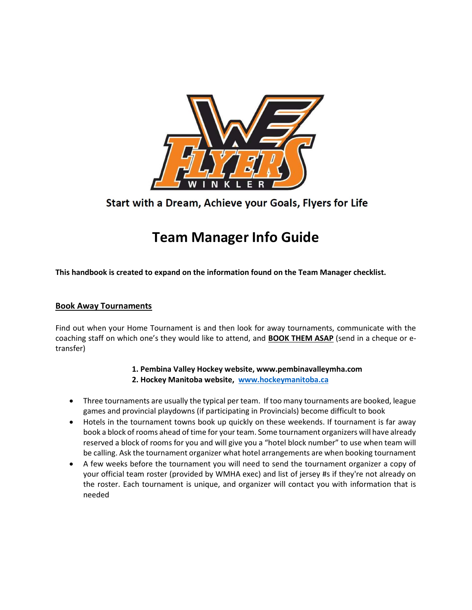

# Start with a Dream, Achieve your Goals, Flyers for Life

# Team Manager Info Guide

This handbook is created to expand on the information found on the Team Manager checklist.

#### Book Away Tournaments

Find out when your Home Tournament is and then look for away tournaments, communicate with the coaching staff on which one's they would like to attend, and **BOOK THEM ASAP** (send in a cheque or etransfer)

1. Pembina Valley Hockey website, www.pembinavalleymha.com

- 2. Hockey Manitoba website, www.hockeymanitoba.ca
- Three tournaments are usually the typical per team. If too many tournaments are booked, league games and provincial playdowns (if participating in Provincials) become difficult to book
- Hotels in the tournament towns book up quickly on these weekends. If tournament is far away book a block of rooms ahead of time for your team. Some tournament organizers will have already reserved a block of rooms for you and will give you a "hotel block number" to use when team will be calling. Ask the tournament organizer what hotel arrangements are when booking tournament
- A few weeks before the tournament you will need to send the tournament organizer a copy of your official team roster (provided by WMHA exec) and list of jersey #s if they're not already on the roster. Each tournament is unique, and organizer will contact you with information that is needed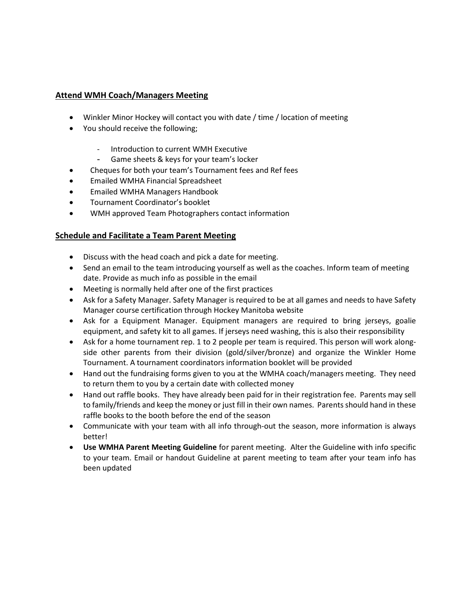# Attend WMH Coach/Managers Meeting

- Winkler Minor Hockey will contact you with date / time / location of meeting
- You should receive the following;
	- Introduction to current WMH Executive
	- Game sheets & keys for your team's locker
- Cheques for both your team's Tournament fees and Ref fees
- Emailed WMHA Financial Spreadsheet
- Emailed WMHA Managers Handbook
- Tournament Coordinator's booklet
- WMH approved Team Photographers contact information

# Schedule and Facilitate a Team Parent Meeting

- Discuss with the head coach and pick a date for meeting.
- Send an email to the team introducing yourself as well as the coaches. Inform team of meeting date. Provide as much info as possible in the email
- Meeting is normally held after one of the first practices
- Ask for a Safety Manager. Safety Manager is required to be at all games and needs to have Safety Manager course certification through Hockey Manitoba website
- Ask for a Equipment Manager. Equipment managers are required to bring jerseys, goalie equipment, and safety kit to all games. If jerseys need washing, this is also their responsibility
- Ask for a home tournament rep. 1 to 2 people per team is required. This person will work alongside other parents from their division (gold/silver/bronze) and organize the Winkler Home Tournament. A tournament coordinators information booklet will be provided
- Hand out the fundraising forms given to you at the WMHA coach/managers meeting. They need to return them to you by a certain date with collected money
- Hand out raffle books. They have already been paid for in their registration fee. Parents may sell to family/friends and keep the money or just fill in their own names. Parents should hand in these raffle books to the booth before the end of the season
- Communicate with your team with all info through-out the season, more information is always better!
- Use WMHA Parent Meeting Guideline for parent meeting. Alter the Guideline with info specific to your team. Email or handout Guideline at parent meeting to team after your team info has been updated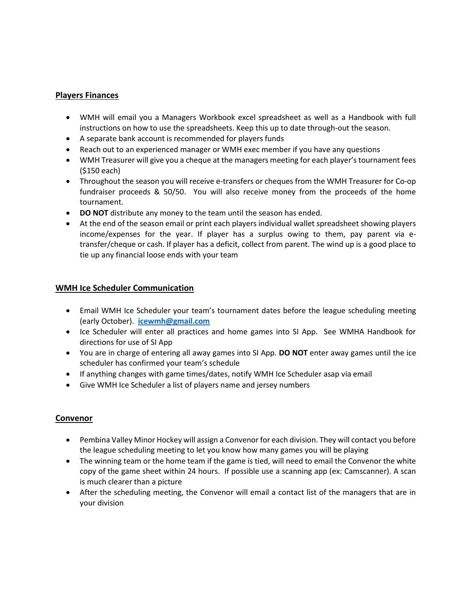# Players Finances

- WMH will email you a Managers Workbook excel spreadsheet as well as a Handbook with full instructions on how to use the spreadsheets. Keep this up to date through-out the season.
- A separate bank account is recommended for players funds
- Reach out to an experienced manager or WMH exec member if you have any questions
- WMH Treasurer will give you a cheque at the managers meeting for each player's tournament fees (\$150 each)
- Throughout the season you will receive e-transfers or cheques from the WMH Treasurer for Co-op fundraiser proceeds & 50/50. You will also receive money from the proceeds of the home tournament.
- DO NOT distribute any money to the team until the season has ended.
- At the end of the season email or print each players individual wallet spreadsheet showing players income/expenses for the year. If player has a surplus owing to them, pay parent via etransfer/cheque or cash. If player has a deficit, collect from parent. The wind up is a good place to tie up any financial loose ends with your team

# WMH Ice Scheduler Communication

- Email WMH Ice Scheduler your team's tournament dates before the league scheduling meeting (early October). icewmh@gmail.com
- Ice Scheduler will enter all practices and home games into SI App. See WMHA Handbook for directions for use of SI App
- You are in charge of entering all away games into SI App. DO NOT enter away games until the ice scheduler has confirmed your team's schedule
- If anything changes with game times/dates, notify WMH Ice Scheduler asap via email
- Give WMH Ice Scheduler a list of players name and jersey numbers

#### Convenor

- Pembina Valley Minor Hockey will assign a Convenor for each division. They will contact you before the league scheduling meeting to let you know how many games you will be playing
- The winning team or the home team if the game is tied, will need to email the Convenor the white copy of the game sheet within 24 hours. If possible use a scanning app (ex: Camscanner). A scan is much clearer than a picture
- After the scheduling meeting, the Convenor will email a contact list of the managers that are in your division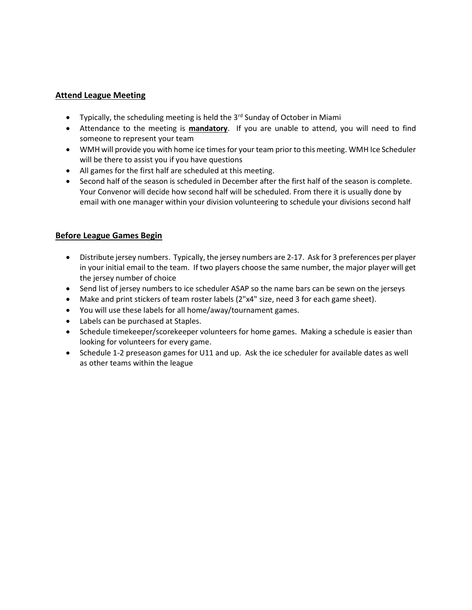# Attend League Meeting

- Typically, the scheduling meeting is held the  $3<sup>rd</sup>$  Sunday of October in Miami
- Attendance to the meeting is **mandatory**. If you are unable to attend, you will need to find someone to represent your team
- WMH will provide you with home ice times for your team prior to this meeting. WMH Ice Scheduler will be there to assist you if you have questions
- All games for the first half are scheduled at this meeting.
- Second half of the season is scheduled in December after the first half of the season is complete. Your Convenor will decide how second half will be scheduled. From there it is usually done by email with one manager within your division volunteering to schedule your divisions second half

# Before League Games Begin

- Distribute jersey numbers. Typically, the jersey numbers are 2-17. Ask for 3 preferences per player in your initial email to the team. If two players choose the same number, the major player will get the jersey number of choice
- Send list of jersey numbers to ice scheduler ASAP so the name bars can be sewn on the jerseys
- Make and print stickers of team roster labels (2"x4" size, need 3 for each game sheet).
- You will use these labels for all home/away/tournament games.
- Labels can be purchased at Staples.
- Schedule timekeeper/scorekeeper volunteers for home games. Making a schedule is easier than looking for volunteers for every game.
- Schedule 1-2 preseason games for U11 and up. Ask the ice scheduler for available dates as well as other teams within the league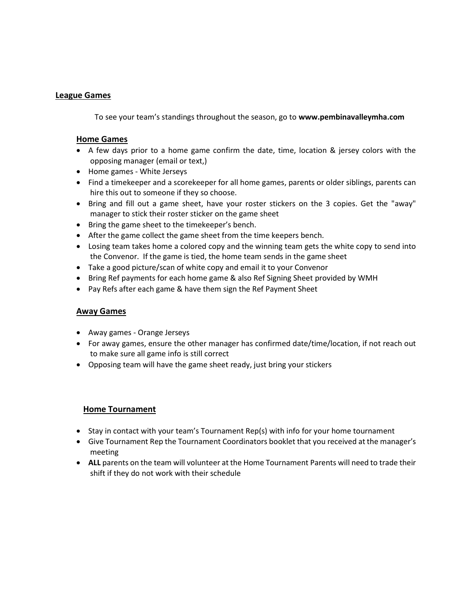#### League Games

To see your team's standings throughout the season, go to www.pembinavalleymha.com

#### Home Games

- A few days prior to a home game confirm the date, time, location & jersey colors with the opposing manager (email or text,)
- Home games White Jerseys
- Find a timekeeper and a scorekeeper for all home games, parents or older siblings, parents can hire this out to someone if they so choose.
- Bring and fill out a game sheet, have your roster stickers on the 3 copies. Get the "away" manager to stick their roster sticker on the game sheet
- Bring the game sheet to the timekeeper's bench.
- After the game collect the game sheet from the time keepers bench.
- Losing team takes home a colored copy and the winning team gets the white copy to send into the Convenor. If the game is tied, the home team sends in the game sheet
- Take a good picture/scan of white copy and email it to your Convenor
- Bring Ref payments for each home game & also Ref Signing Sheet provided by WMH
- Pay Refs after each game & have them sign the Ref Payment Sheet

#### Away Games

- Away games Orange Jerseys
- For away games, ensure the other manager has confirmed date/time/location, if not reach out to make sure all game info is still correct
- Opposing team will have the game sheet ready, just bring your stickers

#### Home Tournament

- Stay in contact with your team's Tournament Rep(s) with info for your home tournament
- Give Tournament Rep the Tournament Coordinators booklet that you received at the manager's meeting
- ALL parents on the team will volunteer at the Home Tournament Parents will need to trade their shift if they do not work with their schedule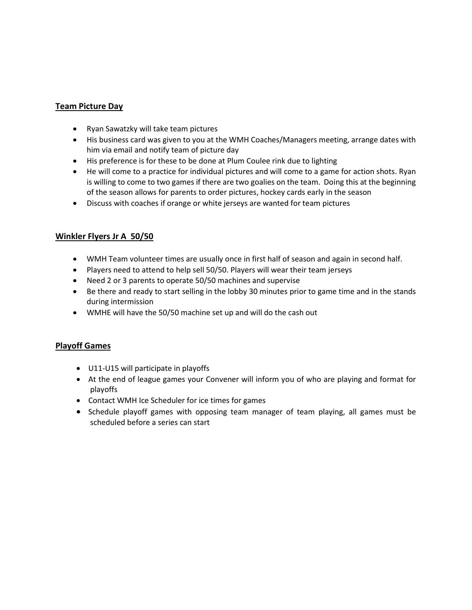# Team Picture Day

- Ryan Sawatzky will take team pictures
- His business card was given to you at the WMH Coaches/Managers meeting, arrange dates with him via email and notify team of picture day
- His preference is for these to be done at Plum Coulee rink due to lighting
- He will come to a practice for individual pictures and will come to a game for action shots. Ryan is willing to come to two games if there are two goalies on the team. Doing this at the beginning of the season allows for parents to order pictures, hockey cards early in the season
- Discuss with coaches if orange or white jerseys are wanted for team pictures

# Winkler Flyers Jr A 50/50

- WMH Team volunteer times are usually once in first half of season and again in second half.
- Players need to attend to help sell 50/50. Players will wear their team jerseys
- Need 2 or 3 parents to operate 50/50 machines and supervise
- Be there and ready to start selling in the lobby 30 minutes prior to game time and in the stands during intermission
- WMHE will have the 50/50 machine set up and will do the cash out

#### Playoff Games

- U11-U15 will participate in playoffs
- At the end of league games your Convener will inform you of who are playing and format for playoffs
- Contact WMH Ice Scheduler for ice times for games
- Schedule playoff games with opposing team manager of team playing, all games must be scheduled before a series can start